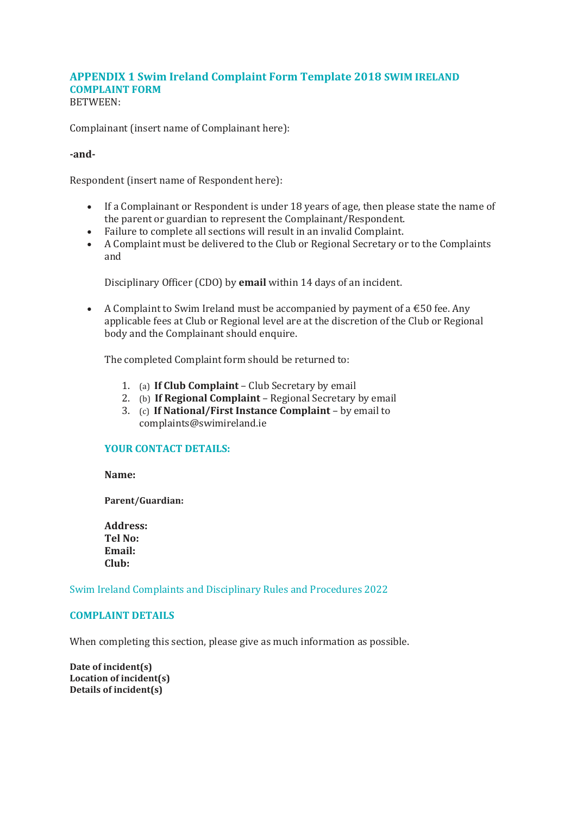## **APPENDIX 1 Swim Ireland Complaint Form Template 2018 SWIM IRELAND COMPLAINT FORM** BETWEEN:

Complainant (insert name of Complainant here):

# **-and-**

Respondent (insert name of Respondent here):

- If a Complainant or Respondent is under 18 years of age, then please state the name of the parent or guardian to represent the Complainant/Respondent.
- Failure to complete all sections will result in an invalid Complaint.
- A Complaint must be delivered to the Club or Regional Secretary or to the Complaints and

Disciplinary Officer (CDO) by **email** within 14 days of an incident.

• A Complaint to Swim Ireland must be accompanied by payment of a  $\epsilon$ 50 fee. Any applicable fees at Club or Regional level are at the discretion of the Club or Regional body and the Complainant should enquire.

The completed Complaint form should be returned to:

- 1. (a) **If Club Complaint**  Club Secretary by email
- 2. (b) **If Regional Complaint**  Regional Secretary by email
- 3. (c) **If National/First Instance Complaint**  by email to complaints@swimireland.ie

## **YOUR CONTACT DETAILS:**

**Name:** 

**Parent/Guardian:** 

**Address: Tel No: Email: Club:** 

Swim Ireland Complaints and Disciplinary Rules and Procedures 2022

## **COMPLAINT DETAILS**

When completing this section, please give as much information as possible.

**Date of incident(s) Location of incident(s) Details of incident(s)**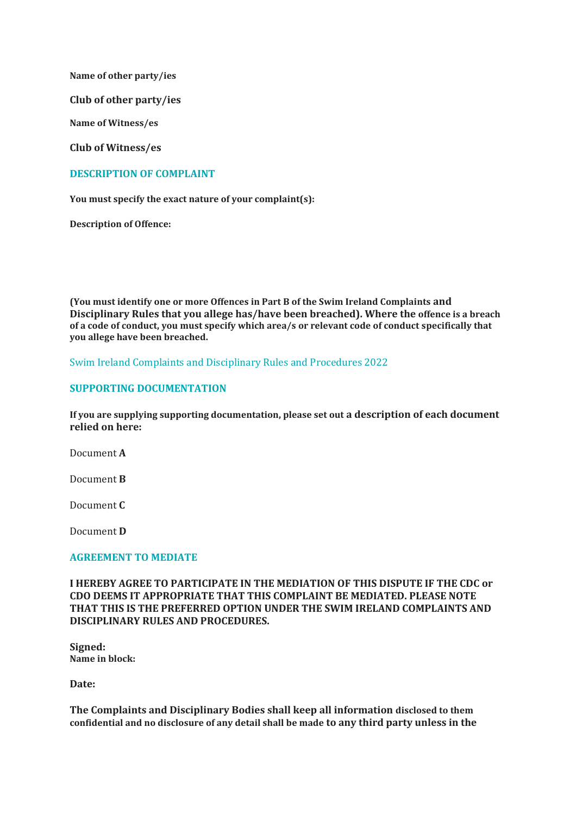**Name of other party/ies** 

**Club of other party/ies** 

**Name of Witness/es** 

**Club of Witness/es**

# **DESCRIPTION OF COMPLAINT**

**You must specify the exact nature of your complaint(s):** 

**Description of Offence:** 

**(You must identify one or more Offences in Part B of the Swim Ireland Complaints and Disciplinary Rules that you allege has/have been breached). Where the offence is a breach of a code of conduct, you must specify which area/s or relevant code of conduct specifically that you allege have been breached.** 

Swim Ireland Complaints and Disciplinary Rules and Procedures 2022

## **SUPPORTING DOCUMENTATION**

**If you are supplying supporting documentation, please set out a description of each document relied on here:** 

Document **A** 

Document **B** 

Document **C** 

Document **D** 

## **AGREEMENT TO MEDIATE**

**I HEREBY AGREE TO PARTICIPATE IN THE MEDIATION OF THIS DISPUTE IF THE CDC or CDO DEEMS IT APPROPRIATE THAT THIS COMPLAINT BE MEDIATED. PLEASE NOTE THAT THIS IS THE PREFERRED OPTION UNDER THE SWIM IRELAND COMPLAINTS AND DISCIPLINARY RULES AND PROCEDURES.** 

**Signed: Name in block:** 

**Date:** 

**The Complaints and Disciplinary Bodies shall keep all information disclosed to them confidential and no disclosure of any detail shall be made to any third party unless in the**